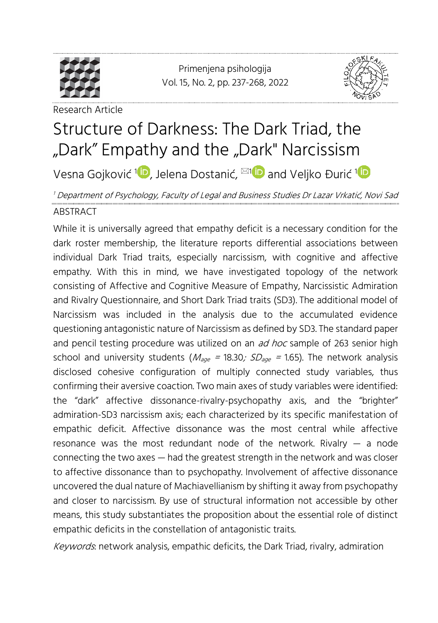

<span id="page-0-0"></span>Primenjena psihologija Vol. 15, No. 2, pp. [237-](#page-0-0)[268,](#page-31-0) 2022



Research Article

# Structure of Darkness: The Dark Triad, the "Dark" Empathy and the "Dark" Narcissism

Vesna Gojković <sup>[1](https://orcid.org/0000-0003-2270-5311)</sup>■, Jelena Dostanić, <sup>⊠1</sup>■ and Veljko Đurić <sup>1</sup>

### <sup>1</sup> Department of Psychology, Faculty of Legal and Business Studies Dr Lazar Vrkatić, Novi Sad ABSTRACT

While it is universally agreed that empathy deficit is a necessary condition for the dark roster membership, the literature reports differential associations between individual Dark Triad traits, especially narcissism, with cognitive and affective empathy. With this in mind, we have investigated topology of the network consisting of Affective and Cognitive Measure of Empathy, Narcissistic Admiration and Rivalry Questionnaire, and Short Dark Triad traits (SD3). The additional model of Narcissism was included in the analysis due to the accumulated evidence questioning antagonistic nature of Narcissism as defined by SD3. The standard paper and pencil testing procedure was utilized on an  $ad$  hoc sample of 263 senior high school and university students ( $M_{\text{age}}$  = 18.30;  $SD_{\text{age}}$  = 1.65). The network analysis disclosed cohesive configuration of multiply connected study variables, thus confirming their aversive coaction. Two main axes of study variables were identified: the "dark" affective dissonance-rivalry-psychopathy axis, and the "brighter" admiration-SD3 narcissism axis; each characterized by its specific manifestation of empathic deficit. Affective dissonance was the most central while affective resonance was the most redundant node of the network. Rivalry  $-$  a node connecting the two axes — had the greatest strength in the network and was closer to affective dissonance than to psychopathy. Involvement of affective dissonance uncovered the dual nature of Machiavellianism by shifting it away from psychopathy and closer to narcissism. By use of structural information not accessible by other means, this study substantiates the proposition about the essential role of distinct empathic deficits in the constellation of antagonistic traits.

Keywords: network analysis, empathic deficits, the Dark Triad, rivalry, admiration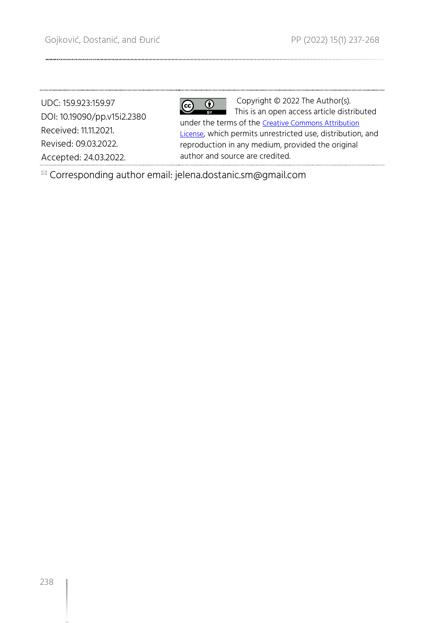UDC: 159.923:159.97 DOI: 10.19090/pp.v15i2.2380 Received: 11.11.2021. Revised: 09.03.2022. Accepted: 24.03.2022.

#### $\overline{\boldsymbol{\theta}}$  $\left(\mathrm{cc}\right)$

Copyright © 2022 The Author(s). This is an open access article distributed under the terms of the [Creative Commons Attribution](https://creativecommons.org/licenses/by/4.0/)  [License](https://creativecommons.org/licenses/by/4.0/), which permits unrestricted use, distribution, and reproduction in any medium, provided the original author and source are credited.

Corresponding author email: jelena.dostanic.sm@gmail.com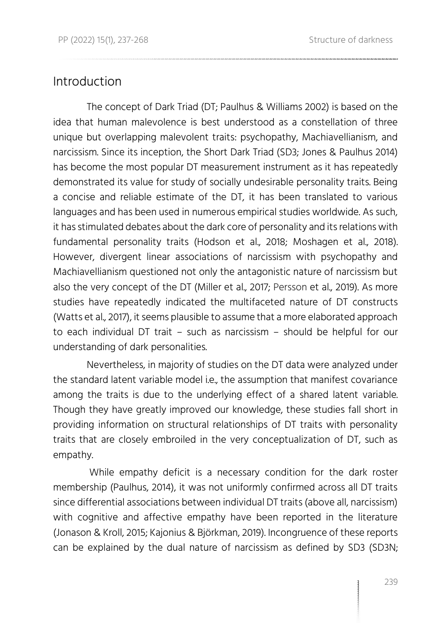### Introduction

The concept of Dark Triad (DT; Paulhus & Williams 2002) is based on the idea that human malevolence is best understood as a constellation of three unique but overlapping malevolent traits: psychopathy, Machiavellianism, and narcissism. Since its inception, the Short Dark Triad (SD3; Jones & Paulhus 2014) has become the most popular DT measurement instrument as it has repeatedly demonstrated its value for study of socially undesirable personality traits. Being a concise and reliable estimate of the DT, it has been translated to various languages and has been used in numerous empirical studies worldwide. As such, it has stimulated debates about the dark core of personality and its relations with fundamental personality traits (Hodson et al., 2018; Moshagen et al., 2018). However, divergent linear associations of narcissism with psychopathy and Machiavellianism questioned not only the antagonistic nature of narcissism but also the very concept of the DT (Miller et al., 2017; Persson et al., 2019). As more studies have repeatedly indicated the multifaceted nature of DT constructs (Watts et al., 2017), it seems plausible to assume that a more elaborated approach to each individual DT trait – such as narcissism – should be helpful for our understanding of dark personalities.

Nevertheless, in majority of studies on the DT data were analyzed under the standard latent variable model i.e., the assumption that manifest covariance among the traits is due to the underlying effect of a shared latent variable. Though they have greatly improved our knowledge, these studies fall short in providing information on structural relationships of DT traits with personality traits that are closely embroiled in the very conceptualization of DT, such as empathy.

While empathy deficit is a necessary condition for the dark roster membership (Paulhus, 2014), it was not uniformly confirmed across all DT traits since differential associations between individual DT traits (above all, narcissism) with cognitive and affective empathy have been reported in the literature (Jonason & Kroll, 2015; Kajonius & Björkman, 2019). Incongruence of these reports can be explained by the dual nature of narcissism as defined by SD3 (SD3N;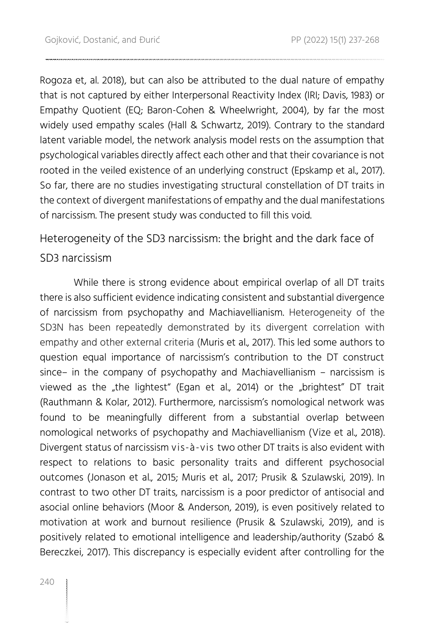Rogoza et, al. 2018), but can also be attributed to the dual nature of empathy that is not captured by either Interpersonal Reactivity Index (IRI; Davis, 1983) or Empathy Quotient (EQ; Baron-Cohen & Wheelwright, 2004), by far the most widely used empathy scales (Hall & Schwartz, 2019). Contrary to the standard latent variable model, the network analysis model rests on the assumption that psychological variables directly affect each other and that their covariance is not rooted in the veiled existence of an underlying construct (Epskamp et al., 2017). So far, there are no studies investigating structural constellation of DT traits in the context of divergent manifestations of empathy and the dual manifestations of narcissism. The present study was conducted to fill this void.

Heterogeneity of the SD3 narcissism: the bright and the dark face of

SD3 narcissism

While there is strong evidence about empirical overlap of all DT traits there is also sufficient evidence indicating consistent and substantial divergence of narcissism from psychopathy and Machiavellianism. Heterogeneity of the SD3N has been repeatedly demonstrated by its divergent correlation with empathy and other external criteria (Muris et al., 2017). This led some authors to question equal importance of narcissism's contribution to the DT construct since– in the company of psychopathy and Machiavellianism – narcissism is viewed as the "the lightest" (Egan et al., 2014) or the "brightest" DT trait (Rauthmann & Kolar, 2012). Furthermore, narcissism's nomological network was found to be meaningfully different from a substantial overlap between nomological networks of psychopathy and Machiavellianism (Vize et al., 2018). Divergent status of narcissism vis-à-vis two other DT traits is also evident with respect to relations to basic personality traits and different psychosocial outcomes (Jonason et al., 2015; Muris et al., 2017; Prusik & Szulawski, 2019). In contrast to two other DT traits, narcissism is a poor predictor of antisocial and asocial online behaviors (Moor & Anderson, 2019), is even positively related to motivation at work and burnout resilience (Prusik & Szulawski, 2019), and is positively related to emotional intelligence and leadership/authority (Szabó & Bereczkei, 2017). This discrepancy is especially evident after controlling for the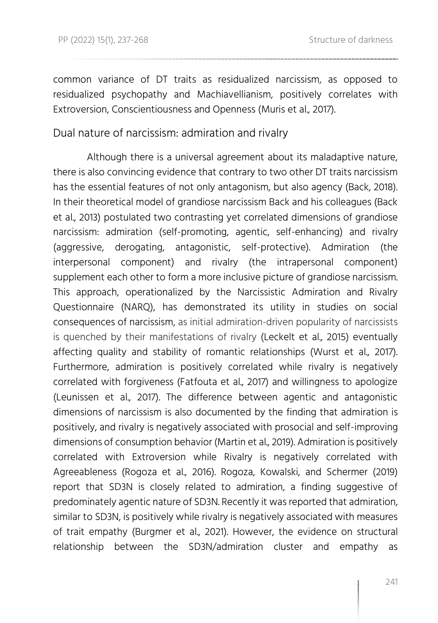common variance of DT traits as residualized narcissism, as opposed to residualized psychopathy and Machiavellianism, positively correlates with Extroversion, Conscientiousness and Openness (Muris et al., 2017).

Dual nature of narcissism: admiration and rivalry

Although there is a universal agreement about its maladaptive nature, there is also convincing evidence that contrary to two other DT traits narcissism has the essential features of not only antagonism, but also agency (Back, 2018). In their theoretical model of grandiose narcissism Back and his colleagues (Back et al., 2013) postulated two contrasting yet correlated dimensions of grandiose narcissism: admiration (self-promoting, agentic, self-enhancing) and rivalry (aggressive, derogating, antagonistic, self-protective). Admiration (the interpersonal component) and rivalry (the intrapersonal component) supplement each other to form a more inclusive picture of grandiose narcissism. This approach, operationalized by the Narcissistic Admiration and Rivalry Questionnaire (NARQ), has demonstrated its utility in studies on social consequences of narcissism, as initial admiration-driven popularity of narcissists is quenched by their manifestations of rivalry (Leckelt et al., 2015) eventually affecting quality and stability of romantic relationships (Wurst et al., 2017). Furthermore, admiration is positively correlated while rivalry is negatively correlated with forgiveness (Fatfouta et al., 2017) and willingness to apologize (Leunissen et al., 2017). The difference between agentic and antagonistic dimensions of narcissism is also documented by the finding that admiration is positively, and rivalry is negatively associated with prosocial and self-improving dimensions of consumption behavior (Martin et al., 2019). Admiration is positively correlated with Extroversion while Rivalry is negatively correlated with Agreeableness (Rogoza et al., 2016). Rogoza, Kowalski, and Schermer (2019) report that SD3N is closely related to admiration, a finding suggestive of predominately agentic nature of SD3N. Recently it was reported that admiration, similar to SD3N, is positively while rivalry is negatively associated with measures of trait empathy (Burgmer et al., 2021). However, the evidence on structural relationship between the SD3N/admiration cluster and empathy as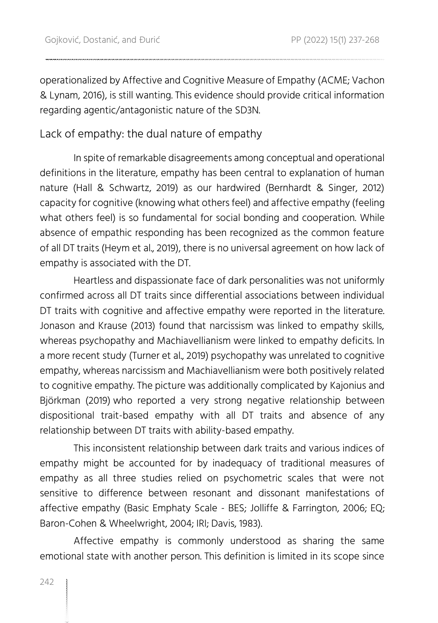operationalized by Affective and Cognitive Measure of Empathy (ACME; Vachon & Lynam, 2016), is still wanting. This evidence should provide critical information regarding agentic/antagonistic nature of the SD3N.

### Lack of empathy: the dual nature of empathy

In spite of remarkable disagreements among conceptual and operational definitions in the literature, empathy has been central to explanation of human nature (Hall & Schwartz, 2019) as our hardwired (Bernhardt & Singer, 2012) capacity for cognitive (knowing what others feel) and affective empathy (feeling what others feel) is so fundamental for social bonding and cooperation. While absence of empathic responding has been recognized as the common feature of all DT traits (Heym et al., 2019), there is no universal agreement on how lack of empathy is associated with the DT.

Heartless and dispassionate face of dark personalities was not uniformly confirmed across all DT traits since differential associations between individual DT traits with cognitive and affective empathy were reported in the literature. Jonason and Krause (2013) found that narcissism was linked to empathy skills, whereas psychopathy and Machiavellianism were linked to empathy deficits. In a more recent study (Turner et al., 2019) psychopathy was unrelated to cognitive empathy, whereas narcissism and Machiavellianism were both positively related to cognitive empathy. The picture was additionally complicated by Kajonius and Björkman (2019) who reported a very strong negative relationship between dispositional trait-based empathy with all DT traits and absence of any relationship between DT traits with ability-based empathy.

This inconsistent relationship between dark traits and various indices of empathy might be accounted for by inadequacy of traditional measures of empathy as all three studies relied on psychometric scales that were not sensitive to difference between resonant and dissonant manifestations of affective empathy (Basic Emphaty Scale - BES; Jolliffe & Farrington, 2006; EQ; Baron-Cohen & Wheelwright, 2004; IRI; Davis, 1983).

Affective empathy is commonly understood as sharing the same emotional state with another person. This definition is limited in its scope since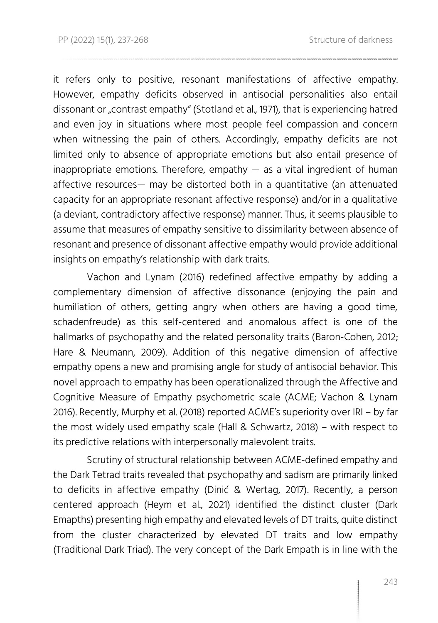it refers only to positive, resonant manifestations of affective empathy. However, empathy deficits observed in antisocial personalities also entail dissonant or "contrast empathy" (Stotland et al., 1971), that is experiencing hatred and even joy in situations where most people feel compassion and concern when witnessing the pain of others. Accordingly, empathy deficits are not limited only to absence of appropriate emotions but also entail presence of inappropriate emotions. Therefore, empathy  $-$  as a vital ingredient of human affective resources— may be distorted both in a quantitative (an attenuated capacity for an appropriate resonant affective response) and/or in a qualitative (a deviant, contradictory affective response) manner. Thus, it seems plausible to assume that measures of empathy sensitive to dissimilarity between absence of resonant and presence of dissonant affective empathy would provide additional insights on empathy's relationship with dark traits.

Vachon and Lynam (2016) redefined affective empathy by adding a complementary dimension of affective dissonance (enjoying the pain and humiliation of others, getting angry when others are having a good time, schadenfreude) as this self-centered and anomalous affect is one of the hallmarks of psychopathy and the related personality traits (Baron-Cohen, 2012; Hare & Neumann, 2009). Addition of this negative dimension of affective empathy opens a new and promising angle for study of antisocial behavior. This novel approach to empathy has been operationalized through the Affective and Cognitive Measure of Empathy psychometric scale (ACME; Vachon & Lynam 2016). Recently, Murphy et al. (2018) reported ACME's superiority over IRI – by far the most widely used empathy scale (Hall & Schwartz, 2018) – with respect to its predictive relations with interpersonally malevolent traits.

Scrutiny of structural relationship between ACME-defined empathy and the Dark Tetrad traits revealed that psychopathy and sadism are primarily linked to deficits in affective empathy (Dinić & Wertag, 2017). Recently, a person centered approach (Heym et al., 2021) identified the distinct cluster (Dark Emapths) presenting high empathy and elevated levels of DT traits, quite distinct from the cluster characterized by elevated DT traits and low empathy (Traditional Dark Triad). The very concept of the Dark Empath is in line with the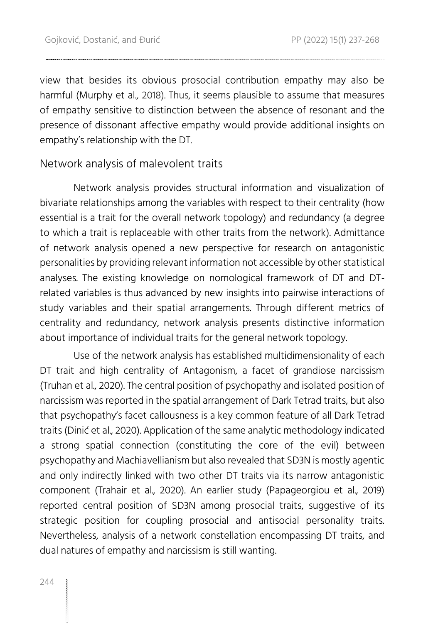view that besides its obvious prosocial contribution empathy may also be harmful (Murphy et al., 2018). Thus, it seems plausible to assume that measures of empathy sensitive to distinction between the absence of resonant and the presence of dissonant affective empathy would provide additional insights on empathy's relationship with the DT.

### Network analysis of malevolent traits

Network analysis provides structural information and visualization of bivariate relationships among the variables with respect to their centrality (how essential is a trait for the overall network topology) and redundancy (a degree to which a trait is replaceable with other traits from the network). Admittance of network analysis opened a new perspective for research on antagonistic personalities by providing relevant information not accessible by other statistical analyses. The existing knowledge on nomological framework of DT and DTrelated variables is thus advanced by new insights into pairwise interactions of study variables and their spatial arrangements. Through different metrics of centrality and redundancy, network analysis presents distinctive information about importance of individual traits for the general network topology.

Use of the network analysis has established multidimensionality of each DT trait and high centrality of Antagonism, a facet of grandiose narcissism (Truhan et al., 2020). The central position of psychopathy and isolated position of narcissism was reported in the spatial arrangement of Dark Tetrad traits, but also that psychopathy's facet callousness is a key common feature of all Dark Tetrad traits (Dinić et al., 2020). Application of the same analytic methodology indicated a strong spatial connection (constituting the core of the evil) between psychopathy and Machiavellianism but also revealed that SD3N is mostly agentic and only indirectly linked with two other DT traits via its narrow antagonistic component (Trahair et al., 2020). An earlier study (Papageorgiou et al., 2019) reported central position of SD3N among prosocial traits, suggestive of its strategic position for coupling prosocial and antisocial personality traits. Nevertheless, analysis of a network constellation encompassing DT traits, and dual natures of empathy and narcissism is still wanting.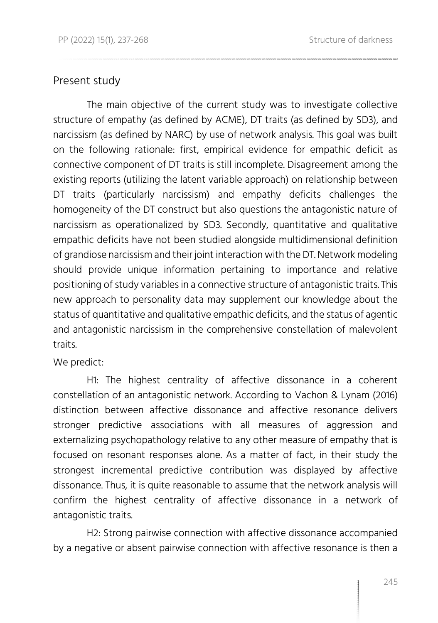### Present study

The main objective of the current study was to investigate collective structure of empathy (as defined by ACME), DT traits (as defined by SD3), and narcissism (as defined by NARC) by use of network analysis. This goal was built on the following rationale: first, empirical evidence for empathic deficit as connective component of DT traits is still incomplete. Disagreement among the existing reports (utilizing the latent variable approach) on relationship between DT traits (particularly narcissism) and empathy deficits challenges the homogeneity of the DT construct but also questions the antagonistic nature of narcissism as operationalized by SD3. Secondly, quantitative and qualitative empathic deficits have not been studied alongside multidimensional definition of grandiose narcissism and their joint interaction with the DT. Network modeling should provide unique information pertaining to importance and relative positioning of study variables in a connective structure of antagonistic traits. This new approach to personality data may supplement our knowledge about the status of quantitative and qualitative empathic deficits, and the status of agentic and antagonistic narcissism in the comprehensive constellation of malevolent traits.

We predict:

H1: The highest centrality of affective dissonance in a coherent constellation of an antagonistic network. According to Vachon & Lynam (2016) distinction between affective dissonance and affective resonance delivers stronger predictive associations with all measures of aggression and externalizing psychopathology relative to any other measure of empathy that is focused on resonant responses alone. As a matter of fact, in their study the strongest incremental predictive contribution was displayed by affective dissonance. Thus, it is quite reasonable to assume that the network analysis will confirm the highest centrality of affective dissonance in a network of antagonistic traits.

H2: Strong pairwise connection with affective dissonance accompanied by a negative or absent pairwise connection with affective resonance is then a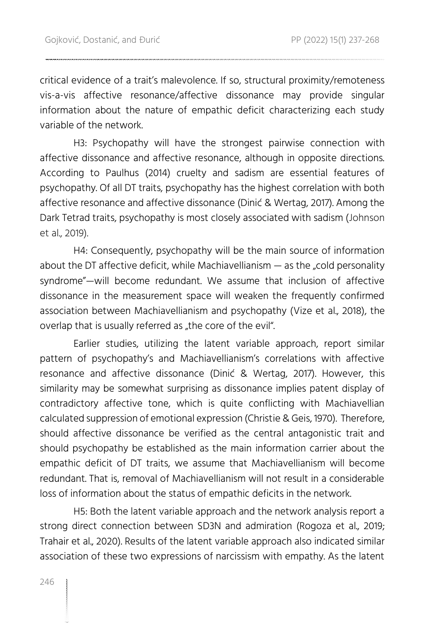critical evidence of a trait's malevolence. If so, structural proximity/remoteness vis-a-vis affective resonance/affective dissonance may provide singular information about the nature of empathic deficit characterizing each study variable of the network.

H3: Psychopathy will have the strongest pairwise connection with affective dissonance and affective resonance, although in opposite directions. According to Paulhus (2014) cruelty and sadism are essential features of psychopathy. Of all DT traits, psychopathy has the highest correlation with both affective resonance and affective dissonance (Dinić & Wertag, 2017). Among the Dark Tetrad traits, psychopathy is most closely associated with sadism (Johnson et al., 2019).

H4: Consequently, psychopathy will be the main source of information about the DT affective deficit, while Machiavellianism  $-$  as the "cold personality syndrome"—will become redundant. We assume that inclusion of affective dissonance in the measurement space will weaken the frequently confirmed association between Machiavellianism and psychopathy (Vize et al., 2018), the overlap that is usually referred as "the core of the evil".

Earlier studies, utilizing the latent variable approach, report similar pattern of psychopathy's and Machiavellianism's correlations with affective resonance and affective dissonance (Dinić & Wertag, 2017). However, this similarity may be somewhat surprising as dissonance implies patent display of contradictory affective tone, which is quite conflicting with Machiavellian calculated suppression of emotional expression (Christie & Geis, 1970). Therefore, should affective dissonance be verified as the central antagonistic trait and should psychopathy be established as the main information carrier about the empathic deficit of DT traits, we assume that Machiavellianism will become redundant. That is, removal of Machiavellianism will not result in a considerable loss of information about the status of empathic deficits in the network.

H5: Both the latent variable approach and the network analysis report a strong direct connection between SD3N and admiration (Rogoza et al., 2019; Trahair et al., 2020). Results of the latent variable approach also indicated similar association of these two expressions of narcissism with empathy. As the latent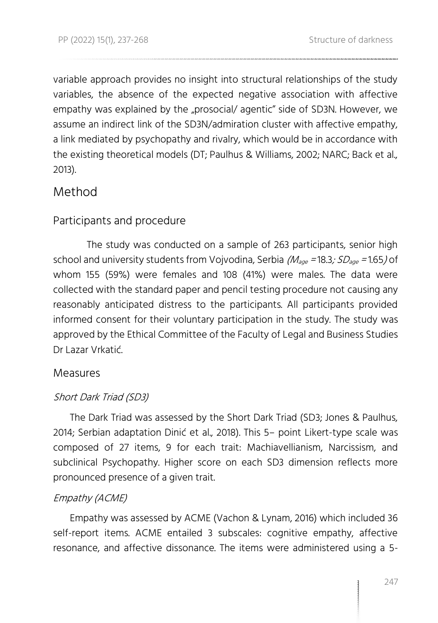variable approach provides no insight into structural relationships of the study variables, the absence of the expected negative association with affective empathy was explained by the "prosocial/ agentic" side of SD3N. However, we assume an indirect link of the SD3N/admiration cluster with affective empathy, a link mediated by psychopathy and rivalry, which would be in accordance with the existing theoretical models (DT; Paulhus & Williams, 2002; NARC; Back et al., 2013).

## Method

### Participants and procedure

The study was conducted on a sample of 263 participants, senior high school and university students from Vojvodina, Serbia  $(M_{\text{age}} = 18.3; SD_{\text{age}} = 1.65)$  of whom 155 (59%) were females and 108 (41%) were males. The data were collected with the standard paper and pencil testing procedure not causing any reasonably anticipated distress to the participants. All participants provided informed consent for their voluntary participation in the study. The study was approved by the Ethical Committee of the Faculty of Legal and Business Studies Dr Lazar Vrkatić.

### Measures

### Short Dark Triad (SD3)

The Dark Triad was assessed by the Short Dark Triad (SD3; Jones & Paulhus, 2014; Serbian adaptation Dinić et al., 2018). This 5– point Likert-type scale was composed of 27 items, 9 for each trait: Machiavellianism, Narcissism, and subclinical Psychopathy. Higher score on each SD3 dimension reflects more pronounced presence of a given trait.

### Empathy (ACME)

Empathy was assessed by ACME (Vachon & Lynam, 2016) which included 36 self-report items. ACME entailed 3 subscales: cognitive empathy, affective resonance, and affective dissonance. The items were administered using a 5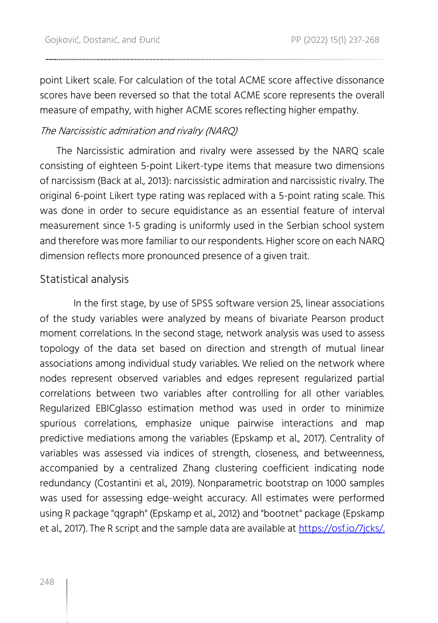point Likert scale. For calculation of the total ACME score affective dissonance scores have been reversed so that the total ACME score represents the overall measure of empathy, with higher ACME scores reflecting higher empathy.

### The Narcissistic admiration and rivalry (NARQ)

The Narcissistic admiration and rivalry were assessed by the NARQ scale consisting of eighteen 5-point Likert-type items that measure two dimensions of narcissism (Back at al., 2013): narcissistic admiration and narcissistic rivalry. The original 6-point Likert type rating was replaced with a 5-point rating scale. This was done in order to secure equidistance as an essential feature of interval measurement since 1-5 grading is uniformly used in the Serbian school system and therefore was more familiar to our respondents. Higher score on each NARQ dimension reflects more pronounced presence of a given trait.

### Statistical analysis

In the first stage, by use of SPSS software version 25, linear associations of the study variables were analyzed by means of bivariate Pearson product moment correlations. In the second stage, network analysis was used to assess topology of the data set based on direction and strength of mutual linear associations among individual study variables. We relied on the network where nodes represent observed variables and edges represent regularized partial correlations between two variables after controlling for all other variables. Regularized EBICglasso estimation method was used in order to minimize spurious correlations, emphasize unique pairwise interactions and map predictive mediations among the variables (Epskamp et al., 2017). Centrality of variables was assessed via indices of strength, closeness, and betweenness, accompanied by a centralized Zhang clustering coefficient indicating node redundancy (Costantini et al., 2019). Nonparametric bootstrap on 1000 samples was used for assessing edge-weight accuracy. All estimates were performed using R package "qgraph" (Epskamp et al., 2012) and "bootnet" package (Epskamp et al., 2017). The R script and the sample data are available at [https://osf.io/7jcks/.](https://osf.io/7jcks/)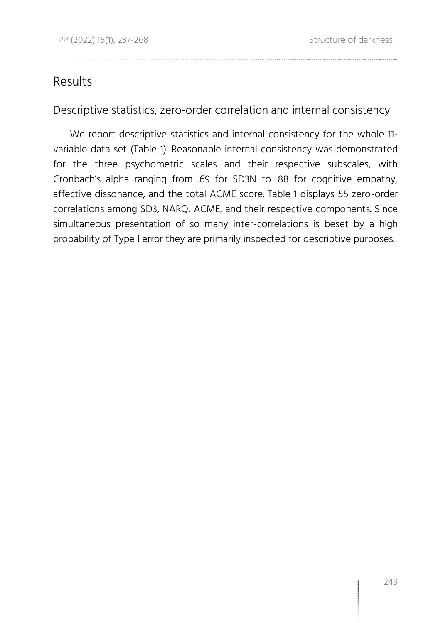## Results

Descriptive statistics, zero-order correlation and internal consistency

We report descriptive statistics and internal consistency for the whole 11 variable data set (Table 1). Reasonable internal consistency was demonstrated for the three psychometric scales and their respective subscales, with Cronbach's alpha ranging from .69 for SD3N to .88 for cognitive empathy, affective dissonance, and the total ACME score. Table 1 displays 55 zero-order correlations among SD3, NARQ, ACME, and their respective components. Since simultaneous presentation of so many inter-correlations is beset by a high probability of Type I error they are primarily inspected for descriptive purposes.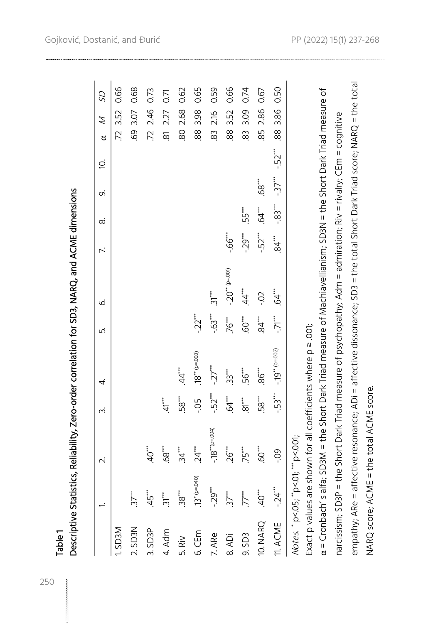| 2.86<br>2.46<br>3.86<br>2.68<br>3.07<br>3.52<br>3.52<br>3.09<br>227<br>3.98<br>2.16<br>88<br>85<br>69<br>8<br>72.<br>88<br>72.<br>80<br>88<br>83<br>8<br>$-52$ <sup>***</sup><br>$-37$ <sup>***</sup><br>68<br>$-33$<br>$64$ <sup>**</sup><br>55***<br>$-29$<br>$-52$<br>$-66$<br>а́<br>ЭД<br>$-20$ <sup>**</sup> (p=.001)<br>.44<br>‡<br>⊲<br>$\ddot{3}$<br>$-0$<br>$-63$<br>$-22$<br>$84$ <sup>***</sup><br>$\ddot{V}$ .<br>76***<br>$-19**$ (p=.002)<br>$18^{**}$ (p=.003)<br>$-27$<br>86**<br>44<br>56***<br>33<br>$-52$<br>$-53$ <sup>***</sup><br>58<br>58 <sup>***</sup><br>64<br>$\overline{81}$<br>$-0.5$<br>41<br>$(1000)$ = $0$ ), $*$ 8<br>68"<br>.60***<br>$40^{***}$<br>24<br>34<br>$26$ <sup>***</sup><br>75**<br><b>eo-</b><br>$.13*$ (p=.040)<br>$\ddot{4}$<br>ڹ<br>$40^{***}$<br>$45$ ***<br>$38$ <sup>***</sup><br>$37$ <sup>***</sup><br>$37$ <sup>***</sup><br>$\mathcal{T}^{**}$<br>$31***$<br>نې<br>Ņ<br>10. NARQ<br>11. ACME<br>2. SD3N<br>MEGS <sub>1</sub><br>3. SD3P<br>4. Adm<br>6.CEm<br>7. ARe<br>9. SD3<br>8. ADi<br>5. Riv | Notes. * p<.05; **p<.01; *** p<.001;                                                                                                                                                  |  | $\sim$ | ന് | 4. | ட் | ق | $\ddot{\sim}$ | ∞ | o, | Ò. | Ź<br>ರ | S <sub>2</sub> |
|------------------------------------------------------------------------------------------------------------------------------------------------------------------------------------------------------------------------------------------------------------------------------------------------------------------------------------------------------------------------------------------------------------------------------------------------------------------------------------------------------------------------------------------------------------------------------------------------------------------------------------------------------------------------------------------------------------------------------------------------------------------------------------------------------------------------------------------------------------------------------------------------------------------------------------------------------------------------------------------------------------------------------------------------------------|---------------------------------------------------------------------------------------------------------------------------------------------------------------------------------------|--|--------|----|----|----|---|---------------|---|----|----|--------|----------------|
|                                                                                                                                                                                                                                                                                                                                                                                                                                                                                                                                                                                                                                                                                                                                                                                                                                                                                                                                                                                                                                                            |                                                                                                                                                                                       |  |        |    |    |    |   |               |   |    |    |        | 0.66           |
|                                                                                                                                                                                                                                                                                                                                                                                                                                                                                                                                                                                                                                                                                                                                                                                                                                                                                                                                                                                                                                                            |                                                                                                                                                                                       |  |        |    |    |    |   |               |   |    |    |        | 0.68           |
|                                                                                                                                                                                                                                                                                                                                                                                                                                                                                                                                                                                                                                                                                                                                                                                                                                                                                                                                                                                                                                                            |                                                                                                                                                                                       |  |        |    |    |    |   |               |   |    |    |        | 0.73           |
|                                                                                                                                                                                                                                                                                                                                                                                                                                                                                                                                                                                                                                                                                                                                                                                                                                                                                                                                                                                                                                                            |                                                                                                                                                                                       |  |        |    |    |    |   |               |   |    |    |        | 0.71           |
|                                                                                                                                                                                                                                                                                                                                                                                                                                                                                                                                                                                                                                                                                                                                                                                                                                                                                                                                                                                                                                                            |                                                                                                                                                                                       |  |        |    |    |    |   |               |   |    |    |        | 0.62           |
|                                                                                                                                                                                                                                                                                                                                                                                                                                                                                                                                                                                                                                                                                                                                                                                                                                                                                                                                                                                                                                                            |                                                                                                                                                                                       |  |        |    |    |    |   |               |   |    |    |        | 0.65           |
|                                                                                                                                                                                                                                                                                                                                                                                                                                                                                                                                                                                                                                                                                                                                                                                                                                                                                                                                                                                                                                                            |                                                                                                                                                                                       |  |        |    |    |    |   |               |   |    |    |        | 0.59           |
|                                                                                                                                                                                                                                                                                                                                                                                                                                                                                                                                                                                                                                                                                                                                                                                                                                                                                                                                                                                                                                                            |                                                                                                                                                                                       |  |        |    |    |    |   |               |   |    |    |        | 0.66           |
|                                                                                                                                                                                                                                                                                                                                                                                                                                                                                                                                                                                                                                                                                                                                                                                                                                                                                                                                                                                                                                                            |                                                                                                                                                                                       |  |        |    |    |    |   |               |   |    |    |        | 0.74           |
|                                                                                                                                                                                                                                                                                                                                                                                                                                                                                                                                                                                                                                                                                                                                                                                                                                                                                                                                                                                                                                                            |                                                                                                                                                                                       |  |        |    |    |    |   |               |   |    |    |        | 0.67           |
|                                                                                                                                                                                                                                                                                                                                                                                                                                                                                                                                                                                                                                                                                                                                                                                                                                                                                                                                                                                                                                                            |                                                                                                                                                                                       |  |        |    |    |    |   |               |   |    |    |        | 0.50           |
|                                                                                                                                                                                                                                                                                                                                                                                                                                                                                                                                                                                                                                                                                                                                                                                                                                                                                                                                                                                                                                                            | a = Cronbach's alfa; SD3M = the Short Dark Triad measure of Machiavellianism; SD3N = the Short Dark Triad measure of<br>Exact p values are shown for all coefficients where p = .001; |  |        |    |    |    |   |               |   |    |    |        |                |

Gojković, Dostanić, and Đurić

NARQ score; ACME = the total ACME score.

NARQ score; ACME = the total ACME score.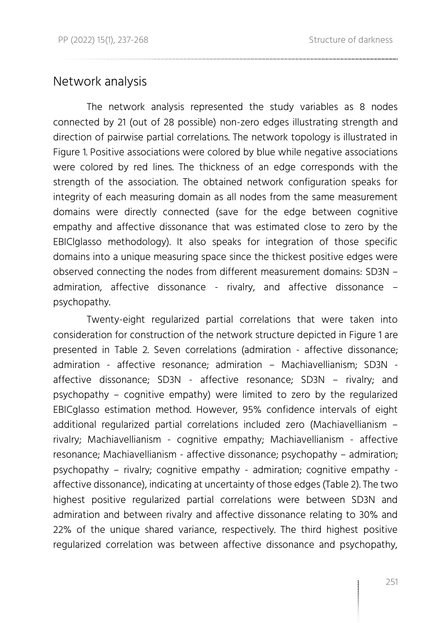### Network analysis

The network analysis represented the study variables as 8 nodes connected by 21 (out of 28 possible) non-zero edges illustrating strength and direction of pairwise partial correlations. The network topology is illustrated in Figure 1. Positive associations were colored by blue while negative associations were colored by red lines. The thickness of an edge corresponds with the strength of the association. The obtained network configuration speaks for integrity of each measuring domain as all nodes from the same measurement domains were directly connected (save for the edge between cognitive empathy and affective dissonance that was estimated close to zero by the EBIClglasso methodology). It also speaks for integration of those specific domains into a unique measuring space since the thickest positive edges were observed connecting the nodes from different measurement domains: SD3N – admiration, affective dissonance - rivalry, and affective dissonance – psychopathy.

Twenty-eight regularized partial correlations that were taken into consideration for construction of the network structure depicted in Figure 1 are presented in Table 2. Seven correlations (admiration - affective dissonance; admiration - affective resonance; admiration – Machiavellianism; SD3N affective dissonance; SD3N - affective resonance; SD3N – rivalry; and psychopathy – cognitive empathy) were limited to zero by the regularized EBICglasso estimation method. However, 95% confidence intervals of eight additional regularized partial correlations included zero (Machiavellianism – rivalry; Machiavellianism - cognitive empathy; Machiavellianism - affective resonance; Machiavellianism - affective dissonance; psychopathy – admiration; psychopathy – rivalry; cognitive empathy - admiration; cognitive empathy affective dissonance), indicating at uncertainty of those edges (Table 2). The two highest positive regularized partial correlations were between SD3N and admiration and between rivalry and affective dissonance relating to 30% and 22% of the unique shared variance, respectively. The third highest positive regularized correlation was between affective dissonance and psychopathy,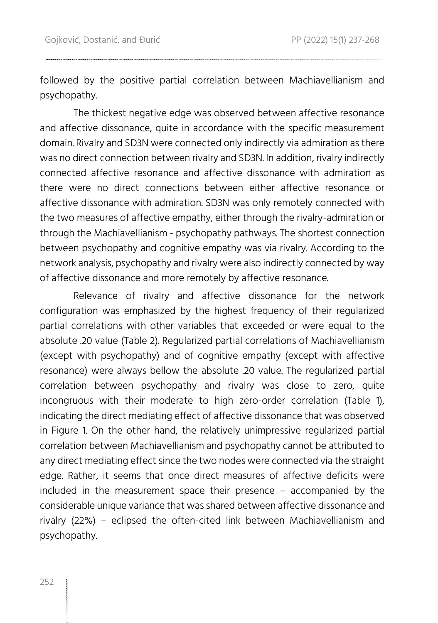followed by the positive partial correlation between Machiavellianism and psychopathy.

The thickest negative edge was observed between affective resonance and affective dissonance, quite in accordance with the specific measurement domain. Rivalry and SD3N were connected only indirectly via admiration as there was no direct connection between rivalry and SD3N. In addition, rivalry indirectly connected affective resonance and affective dissonance with admiration as there were no direct connections between either affective resonance or affective dissonance with admiration. SD3N was only remotely connected with the two measures of affective empathy, either through the rivalry-admiration or through the Machiavellianism - psychopathy pathways. The shortest connection between psychopathy and cognitive empathy was via rivalry. According to the network analysis, psychopathy and rivalry were also indirectly connected by way of affective dissonance and more remotely by affective resonance.

Relevance of rivalry and affective dissonance for the network configuration was emphasized by the highest frequency of their regularized partial correlations with other variables that exceeded or were equal to the absolute .20 value (Table 2). Regularized partial correlations of Machiavellianism (except with psychopathy) and of cognitive empathy (except with affective resonance) were always bellow the absolute .20 value. The regularized partial correlation between psychopathy and rivalry was close to zero, quite incongruous with their moderate to high zero-order correlation (Table 1), indicating the direct mediating effect of affective dissonance that was observed in Figure 1. On the other hand, the relatively unimpressive regularized partial correlation between Machiavellianism and psychopathy cannot be attributed to any direct mediating effect since the two nodes were connected via the straight edge. Rather, it seems that once direct measures of affective deficits were included in the measurement space their presence – accompanied by the considerable unique variance that was shared between affective dissonance and rivalry (22%) – eclipsed the often-cited link between Machiavellianism and psychopathy.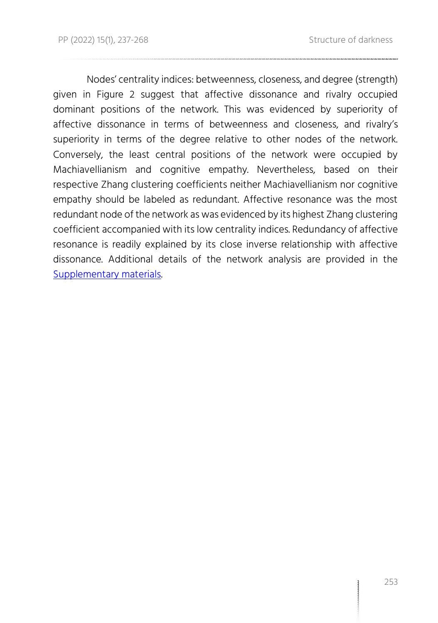Nodes' centrality indices: betweenness, closeness, and degree (strength) given in Figure 2 suggest that affective dissonance and rivalry occupied dominant positions of the network. This was evidenced by superiority of affective dissonance in terms of betweenness and closeness, and rivalry's superiority in terms of the degree relative to other nodes of the network. Conversely, the least central positions of the network were occupied by Machiavellianism and cognitive empathy. Nevertheless, based on their respective Zhang clustering coefficients neither Machiavellianism nor cognitive empathy should be labeled as redundant. Affective resonance was the most redundant node of the network as was evidenced by its highest Zhang clustering coefficient accompanied with its low centrality indices. Redundancy of affective resonance is readily explained by its close inverse relationship with affective dissonance. Additional details of the network analysis are provided in the [Supplementary materials.](https://osf.io/7jcks/)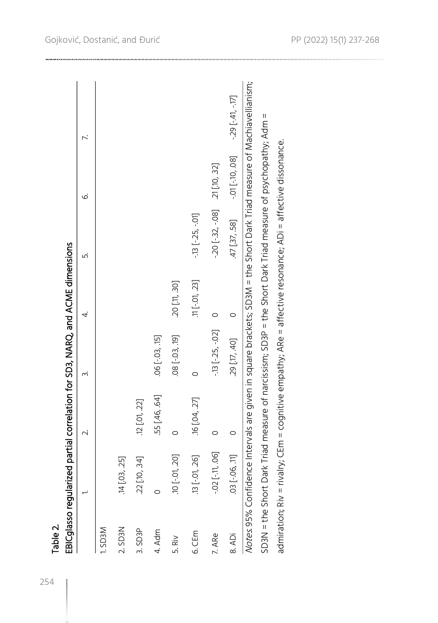|                   |                                                                                                                       | $\sim$             | ∽;                  | 4.             | ட்                                  | $\dot{\circ}$     | 7.                 |
|-------------------|-----------------------------------------------------------------------------------------------------------------------|--------------------|---------------------|----------------|-------------------------------------|-------------------|--------------------|
| MECS <sub>1</sub> |                                                                                                                       |                    |                     |                |                                     |                   |                    |
| 2. SD3N           | .14 [.03, .25]                                                                                                        |                    |                     |                |                                     |                   |                    |
| 3. SD3P           | 22 [10, 34]                                                                                                           | $.12$ $[.01, .22]$ |                     |                |                                     |                   |                    |
| 4. Adm            | $\circ$                                                                                                               | 55 [.46, .64]      | $.06$ $[-.03, .15]$ |                |                                     |                   |                    |
| 5. Riv            | .10 [-.01, .20]                                                                                                       | $\circ$            | $.08[-.03, .19]$    | 20 [11, 30]    |                                     |                   |                    |
| 6.CEm             | .13 [-.01, .26]                                                                                                       | 16 [.04, .27]      | $\circ$             | $[11[-07, 23]$ | $-13$ $[-.25, -01]$                 |                   |                    |
| 7. ARe            | $-02$ $[-11, 06]$                                                                                                     | $\circ$            | $-13$ $[-25, -02]$  | $\circ$        | $-20$ $[-32, -08]$ $-21$ $[10, 32]$ |                   |                    |
| 8. ADi            | 03 [-06, 11]                                                                                                          | $\circ$            | 29 [17, 40]         | $\circ$        | 47 [.37, .58]                       | $-01$ $[-10, 08]$ | $-29$ $[-41, -17]$ |
|                   | Notes 95% Confidence Intervals are given in square brackets; SD3M = the Short Dark Triad measure of Machiavellianism; |                    |                     |                |                                     |                   |                    |
|                   | SD3N = the Short Dark Triad measure of narcissism; SD3P = the Short Dark Triad measure of psychopathy; Adm =          |                    |                     |                |                                     |                   |                    |
|                   | admiration; Riv = rivally; CEm = cognitive empathy; ARe = affective resonance; ADi = affective dissonance.            |                    |                     |                |                                     |                   |                    |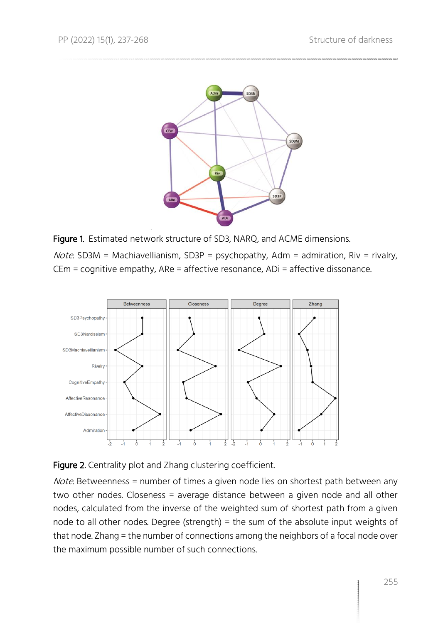

Figure 1. Estimated network structure of SD3, NARQ, and ACME dimensions.

Note. SD3M = Machiavellianism, SD3P = psychopathy, Adm = admiration, Riv = rivalry, CEm = cognitive empathy, ARe = affective resonance, ADi = affective dissonance.





Note. Betweenness = number of times a given node lies on shortest path between any two other nodes. Closeness = average distance between a given node and all other nodes, calculated from the inverse of the weighted sum of shortest path from a given node to all other nodes. Degree (strength) = the sum of the absolute input weights of that node. Zhang = the number of connections among the neighbors of a focal node over the maximum possible number of such connections.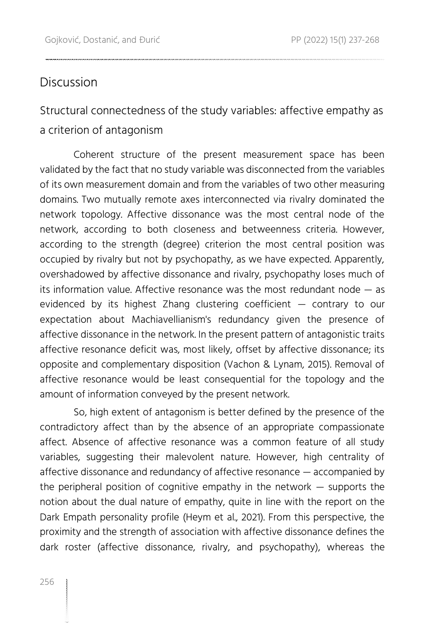## **Discussion**

## Structural connectedness of the study variables: affective empathy as a criterion of antagonism

Coherent structure of the present measurement space has been validated by the fact that no study variable was disconnected from the variables of its own measurement domain and from the variables of two other measuring domains. Two mutually remote axes interconnected via rivalry dominated the network topology. Affective dissonance was the most central node of the network, according to both closeness and betweenness criteria. However, according to the strength (degree) criterion the most central position was occupied by rivalry but not by psychopathy, as we have expected. Apparently, overshadowed by affective dissonance and rivalry, psychopathy loses much of its information value. Affective resonance was the most redundant node — as evidenced by its highest Zhang clustering coefficient — contrary to our expectation about Machiavellianism's redundancy given the presence of affective dissonance in the network. In the present pattern of antagonistic traits affective resonance deficit was, most likely, offset by affective dissonance; its opposite and complementary disposition (Vachon & Lynam, 2015). Removal of affective resonance would be least consequential for the topology and the amount of information conveyed by the present network.

So, high extent of antagonism is better defined by the presence of the contradictory affect than by the absence of an appropriate compassionate affect. Absence of affective resonance was a common feature of all study variables, suggesting their malevolent nature. However, high centrality of affective dissonance and redundancy of affective resonance — accompanied by the peripheral position of cognitive empathy in the network — supports the notion about the dual nature of empathy, quite in line with the report on the Dark Empath personality profile (Heym et al., 2021). From this perspective, the proximity and the strength of association with affective dissonance defines the dark roster (affective dissonance, rivalry, and psychopathy), whereas the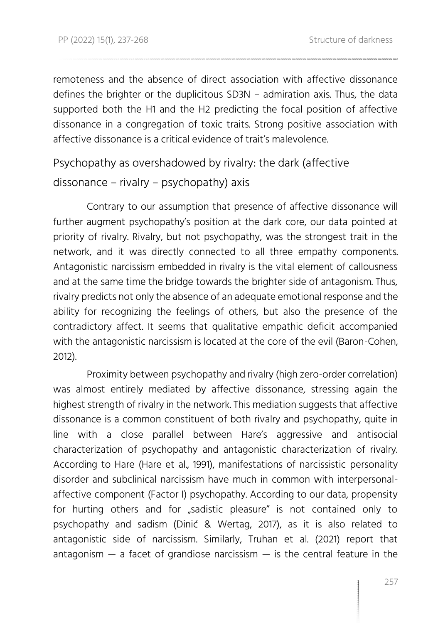remoteness and the absence of direct association with affective dissonance defines the brighter or the duplicitous SD3N – admiration axis. Thus, the data supported both the H1 and the H2 predicting the focal position of affective dissonance in a congregation of toxic traits. Strong positive association with affective dissonance is a critical evidence of trait's malevolence.

Psychopathy as overshadowed by rivalry: the dark (affective

### dissonance – rivalry – psychopathy) axis

Contrary to our assumption that presence of affective dissonance will further augment psychopathy's position at the dark core, our data pointed at priority of rivalry. Rivalry, but not psychopathy, was the strongest trait in the network, and it was directly connected to all three empathy components. Antagonistic narcissism embedded in rivalry is the vital element of callousness and at the same time the bridge towards the brighter side of antagonism. Thus, rivalry predicts not only the absence of an adequate emotional response and the ability for recognizing the feelings of others, but also the presence of the contradictory affect. It seems that qualitative empathic deficit accompanied with the antagonistic narcissism is located at the core of the evil (Baron-Cohen, 2012).

Proximity between psychopathy and rivalry (high zero-order correlation) was almost entirely mediated by affective dissonance, stressing again the highest strength of rivalry in the network. This mediation suggests that affective dissonance is a common constituent of both rivalry and psychopathy, quite in line with a close parallel between Hare's aggressive and antisocial characterization of psychopathy and antagonistic characterization of rivalry. According to Hare (Hare et al., 1991), manifestations of narcissistic personality disorder and subclinical narcissism have much in common with interpersonalaffective component (Factor I) psychopathy. According to our data, propensity for hurting others and for "sadistic pleasure" is not contained only to psychopathy and sadism (Dinić & Wertag, 2017), as it is also related to antagonistic side of narcissism. Similarly, Truhan et al. (2021) report that antagonism  $-$  a facet of grandiose narcissism  $-$  is the central feature in the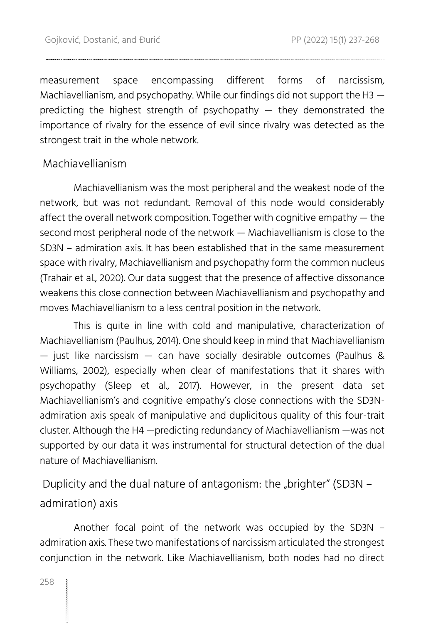measurement space encompassing different forms of narcissism, Machiavellianism, and psychopathy. While our findings did not support the H3 predicting the highest strength of psychopathy  $-$  they demonstrated the importance of rivalry for the essence of evil since rivalry was detected as the strongest trait in the whole network.

### Machiavellianism

Machiavellianism was the most peripheral and the weakest node of the network, but was not redundant. Removal of this node would considerably affect the overall network composition. Together with cognitive empathy — the second most peripheral node of the network — Machiavellianism is close to the SD3N – admiration axis. It has been established that in the same measurement space with rivalry, Machiavellianism and psychopathy form the common nucleus (Trahair et al., 2020). Our data suggest that the presence of affective dissonance weakens this close connection between Machiavellianism and psychopathy and moves Machiavellianism to a less central position in the network.

This is quite in line with cold and manipulative, characterization of Machiavellianism (Paulhus, 2014). One should keep in mind that Machiavellianism  $-$  just like narcissism  $-$  can have socially desirable outcomes (Paulhus & Williams, 2002), especially when clear of manifestations that it shares with psychopathy (Sleep et al., 2017). However, in the present data set Machiavellianism's and cognitive empathy's close connections with the SD3Nadmiration axis speak of manipulative and duplicitous quality of this four-trait cluster. Although the H4 —predicting redundancy of Machiavellianism —was not supported by our data it was instrumental for structural detection of the dual nature of Machiavellianism.

Duplicity and the dual nature of antagonism: the "brighter" (SD3N  $$ admiration) axis

Another focal point of the network was occupied by the SD3N – admiration axis. These two manifestations of narcissism articulated the strongest conjunction in the network. Like Machiavellianism, both nodes had no direct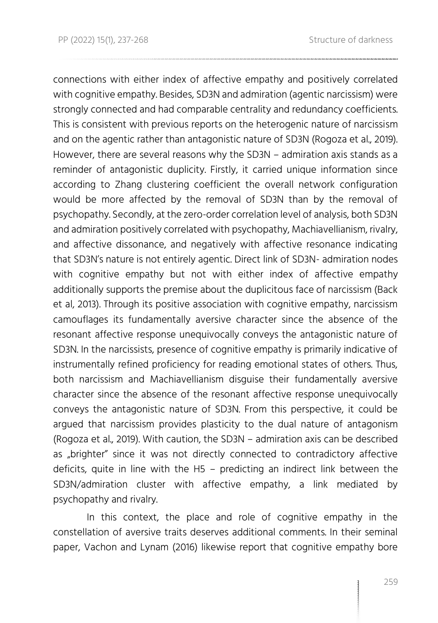connections with either index of affective empathy and positively correlated with cognitive empathy. Besides, SD3N and admiration (agentic narcissism) were strongly connected and had comparable centrality and redundancy coefficients. This is consistent with previous reports on the heterogenic nature of narcissism and on the agentic rather than antagonistic nature of SD3N (Rogoza et al., 2019). However, there are several reasons why the SD3N – admiration axis stands as a reminder of antagonistic duplicity. Firstly, it carried unique information since according to Zhang clustering coefficient the overall network configuration would be more affected by the removal of SD3N than by the removal of psychopathy. Secondly, at the zero-order correlation level of analysis, both SD3N and admiration positively correlated with psychopathy, Machiavellianism, rivalry, and affective dissonance, and negatively with affective resonance indicating that SD3N's nature is not entirely agentic. Direct link of SD3N- admiration nodes with cognitive empathy but not with either index of affective empathy additionally supports the premise about the duplicitous face of narcissism (Back et al, 2013). Through its positive association with cognitive empathy, narcissism camouflages its fundamentally aversive character since the absence of the resonant affective response unequivocally conveys the antagonistic nature of SD3N. In the narcissists, presence of cognitive empathy is primarily indicative of instrumentally refined proficiency for reading emotional states of others. Thus, both narcissism and Machiavellianism disguise their fundamentally aversive character since the absence of the resonant affective response unequivocally conveys the antagonistic nature of SD3N. From this perspective, it could be argued that narcissism provides plasticity to the dual nature of antagonism (Rogoza et al., 2019). With caution, the SD3N – admiration axis can be described as "brighter" since it was not directly connected to contradictory affective deficits, quite in line with the H5 – predicting an indirect link between the SD3N/admiration cluster with affective empathy, a link mediated by psychopathy and rivalry.

In this context, the place and role of cognitive empathy in the constellation of aversive traits deserves additional comments. In their seminal paper, Vachon and Lynam (2016) likewise report that cognitive empathy bore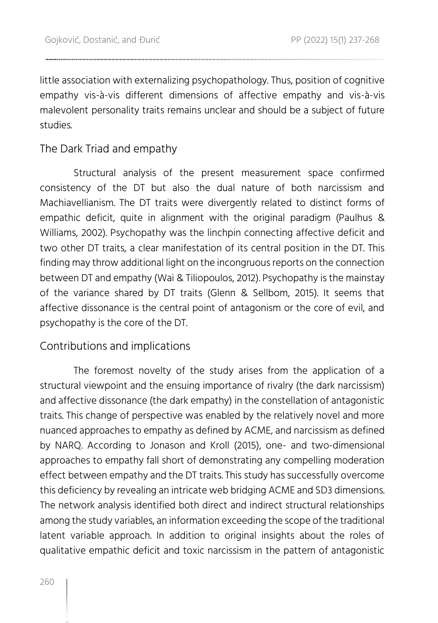little association with externalizing psychopathology. Thus, position of cognitive empathy vis-à-vis different dimensions of affective empathy and vis-à-vis malevolent personality traits remains unclear and should be a subject of future studies.

### The Dark Triad and empathy

Structural analysis of the present measurement space confirmed consistency of the DT but also the dual nature of both narcissism and Machiavellianism. The DT traits were divergently related to distinct forms of empathic deficit, quite in alignment with the original paradigm (Paulhus & Williams, 2002). Psychopathy was the linchpin connecting affective deficit and two other DT traits, a clear manifestation of its central position in the DT. This finding may throw additional light on the incongruous reports on the connection between DT and empathy (Wai & Tiliopoulos, 2012). Psychopathy is the mainstay of the variance shared by DT traits (Glenn & Sellbom, 2015). It seems that affective dissonance is the central point of antagonism or the core of evil, and psychopathy is the core of the DT.

### Contributions and implications

The foremost novelty of the study arises from the application of a structural viewpoint and the ensuing importance of rivalry (the dark narcissism) and affective dissonance (the dark empathy) in the constellation of antagonistic traits. This change of perspective was enabled by the relatively novel and more nuanced approaches to empathy as defined by ACME, and narcissism as defined by NARQ. According to Jonason and Kroll (2015), one- and two-dimensional approaches to empathy fall short of demonstrating any compelling moderation effect between empathy and the DT traits. This study has successfully overcome this deficiency by revealing an intricate web bridging ACME and SD3 dimensions. The network analysis identified both direct and indirect structural relationships among the study variables, an information exceeding the scope of the traditional latent variable approach. In addition to original insights about the roles of qualitative empathic deficit and toxic narcissism in the pattern of antagonistic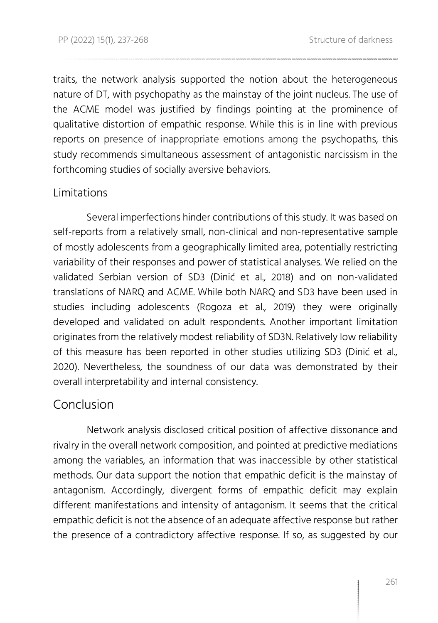traits, the network analysis supported the notion about the heterogeneous nature of DT, with psychopathy as the mainstay of the joint nucleus. The use of the ACME model was justified by findings pointing at the prominence of qualitative distortion of empathic response. While this is in line with previous reports on presence of inappropriate emotions among the psychopaths, this study recommends simultaneous assessment of antagonistic narcissism in the forthcoming studies of socially aversive behaviors.

### Limitations

Several imperfections hinder contributions of this study. It was based on self-reports from a relatively small, non-clinical and non-representative sample of mostly adolescents from a geographically limited area, potentially restricting variability of their responses and power of statistical analyses. We relied on the validated Serbian version of SD3 (Dinić et al., 2018) and on non-validated translations of NARQ and ACME. While both NARQ and SD3 have been used in studies including adolescents (Rogoza et al., 2019) they were originally developed and validated on adult respondents. Another important limitation originates from the relatively modest reliability of SD3N. Relatively low reliability of this measure has been reported in other studies utilizing SD3 (Dinić et al., 2020). Nevertheless, the soundness of our data was demonstrated by their overall interpretability and internal consistency.

### Conclusion

Network analysis disclosed critical position of affective dissonance and rivalry in the overall network composition, and pointed at predictive mediations among the variables, an information that was inaccessible by other statistical methods. Our data support the notion that empathic deficit is the mainstay of antagonism. Accordingly, divergent forms of empathic deficit may explain different manifestations and intensity of antagonism. It seems that the critical empathic deficit is not the absence of an adequate affective response but rather the presence of a contradictory affective response. If so, as suggested by our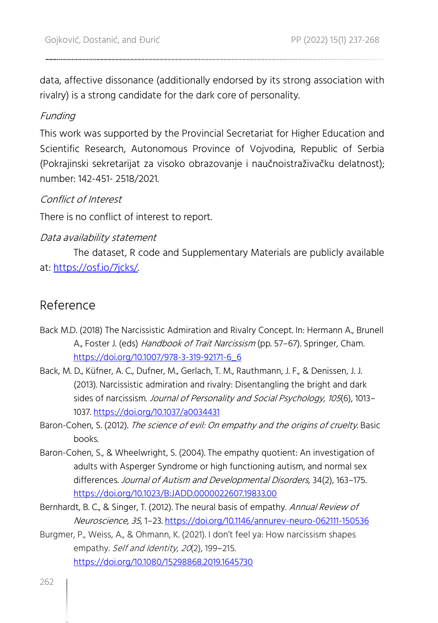data, affective dissonance (additionally endorsed by its strong association with rivalry) is a strong candidate for the dark core of personality.

### Funding

This work was supported by the Provincial Secretariat for Higher Education and Scientific Research, Autonomous Province of Vojvodina, Republic of Serbia (Pokrajinski sekretarijat za visoko obrazovanje i naučnoistraživačku delatnost); number: 142-451- 2518/2021.

### Conflict of Interest

There is no conflict of interest to report.

#### Data availability statement

The dataset, R code and Supplementary Materials are publicly available at: [https://osf.io/7jcks/.](https://osf.io/7jcks/) 

### Reference

- Back M.D. (2018) The Narcissistic Admiration and Rivalry Concept. In: Hermann A., Brunell A., Foster J. (eds) Handbook of Trait Narcissism (pp. 57-67). Springer, Cham. [https://doi.org/10.1007/978-3-319-92171-6\\_6](https://doi.org/10.1007/978-3-319-92171-6_6)
- Back, M. D., Küfner, A. C., Dufner, M., Gerlach, T. M., Rauthmann, J. F., & Denissen, J. J. (2013). Narcissistic admiration and rivalry: Disentangling the bright and dark sides of narcissism. Journal of Personality and Social Psychology, 105(6), 1013– 1037.<https://doi.org/10.1037/a0034431>
- Baron-Cohen, S. (2012). The science of evil: On empathy and the origins of cruelty. Basic books.
- Baron-Cohen, S., & Wheelwright, S. (2004). The empathy quotient: An investigation of adults with Asperger Syndrome or high functioning autism, and normal sex differences. Journal of Autism and Developmental Disorders, 34(2), 163–175. <https://doi.org/10.1023/B:JADD.0000022607.19833.00>
- Bernhardt, B. C., & Singer, T. (2012). The neural basis of empathy. Annual Review of Neuroscience, <sup>35</sup>, 1–23.<https://doi.org/10.1146/annurev-neuro-062111-150536>
- Burgmer, P., Weiss, A., & Ohmann, K. (2021). I don't feel ya: How narcissism shapes empathy. Self and Identity, 20(2), 199-215. <https://doi.org/10.1080/15298868.2019.1645730>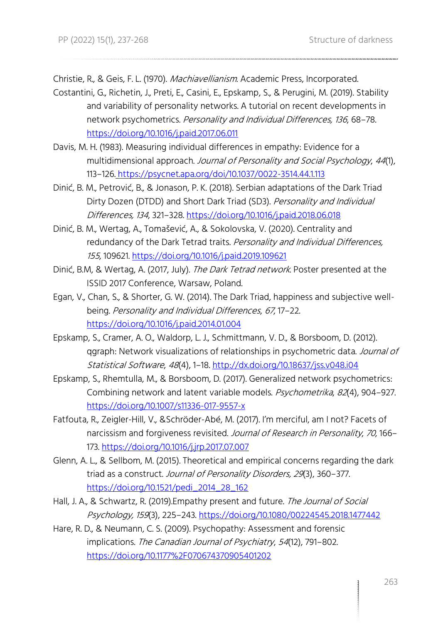Christie, R., & Geis, F. L. (1970). Machiavellianism. Academic Press, Incorporated.

- Costantini, G., Richetin, J., Preti, E., Casini, E., Epskamp, S., & Perugini, M. (2019). Stability and variability of personality networks. A tutorial on recent developments in network psychometrics. Personality and Individual Differences, 136, 68–78. <https://doi.org/10.1016/j.paid.2017.06.011>
- Davis, M. H. (1983). Measuring individual differences in empathy: Evidence for a multidimensional approach. Journal of Personality and Social Psychology, <sup>44</sup>(1), 113–126. https://psycnet.apa.org/doi/10.1037/0022-3514.44.1.113
- Dinić, B. M., Petrović, B., & Jonason, P. K. (2018). Serbian adaptations of the Dark Triad Dirty Dozen (DTDD) and Short Dark Triad (SD3). Personality and Individual Differences, 134, 321–328.<https://doi.org/10.1016/j.paid.2018.06.018>
- Dinić, B. M., Wertag, A., Tomašević, A., & Sokolovska, V. (2020). Centrality and redundancy of the Dark Tetrad traits. Personality and Individual Differences, <sup>155</sup>, 109621.<https://doi.org/10.1016/j.paid.2019.109621>
- Dinić, B.M, & Wertag, A. (2017, July). The Dark Tetrad network. Poster presented at the ISSID 2017 Conference, Warsaw, Poland.
- Egan, V., Chan, S., & Shorter, G. W. (2014). The Dark Triad, happiness and subjective wellbeing. Personality and Individual Differences, <sup>67</sup>, 17–22. <https://doi.org/10.1016/j.paid.2014.01.004>
- Epskamp, S., Cramer, A. O., Waldorp, L. J., Schmittmann, V. D., & Borsboom, D. (2012). ggraph: Network visualizations of relationships in psychometric data. Journal of Statistical Software, <sup>48</sup>(4), 1–18.<http://dx.doi.org/10.18637/jss.v048.i04>
- Epskamp, S., Rhemtulla, M., & Borsboom, D. (2017). Generalized network psychometrics: Combining network and latent variable models. Psychometrika, 82(4), 904-927. <https://doi.org/10.1007/s11336-017-9557-x>
- Fatfouta, R., Zeigler-Hill, V., &Schröder-Abé, M. (2017). I'm merciful, am I not? Facets of narcissism and forgiveness revisited. Journal of Research in Personality, 70, 166-173[. https://doi.org/10.1016/j.jrp.2017.07.007](https://doi.org/10.1016/j.jrp.2017.07.007)
- Glenn, A. L., & Sellbom, M. (2015). Theoretical and empirical concerns regarding the dark triad as a construct. Journal of Personality Disorders, 29(3), 360-377. [https://doi.org/10.1521/pedi\\_2014\\_28\\_162](https://doi.org/10.1521/pedi_2014_28_162)
- Hall, J. A., & Schwartz, R. (2019). Empathy present and future. The Journal of Social Psychology, 159(3), 225–243[. https://doi.org/10.1080/00224545.2018.1477442](https://doi.org/10.1080/00224545.2018.1477442)
- Hare, R. D., & Neumann, C. S. (2009). Psychopathy: Assessment and forensic implications. The Canadian Journal of Psychiatry, 54(12), 791-802. <https://doi.org/10.1177%2F070674370905401202>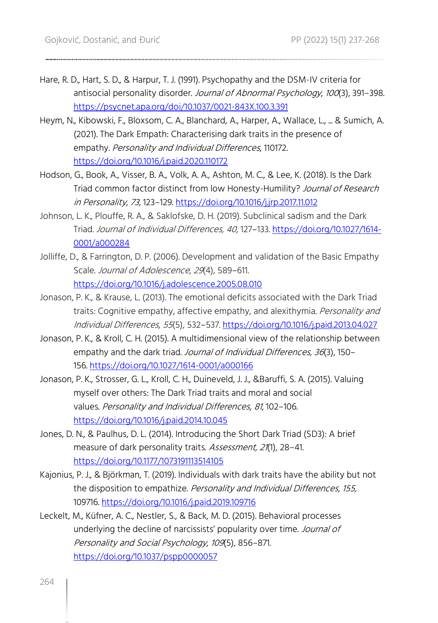- Hare, R. D., Hart, S. D., & Harpur, T. J. (1991). Psychopathy and the DSM-IV criteria for antisocial personality disorder. Journal of Abnormal Psychology, 100(3), 391-398. <https://psycnet.apa.org/doi/10.1037/0021-843X.100.3.391>
- Heym, N., Kibowski, F., Bloxsom, C. A., Blanchard, A., Harper, A., Wallace, L., ... & Sumich, A. (2021). The Dark Empath: Characterising dark traits in the presence of empathy. Personality and Individual Differences, 110172. <https://doi.org/10.1016/j.paid.2020.110172>
- Hodson, G., Book, A., Visser, B. A., Volk, A. A., Ashton, M. C., & Lee, K. (2018). Is the Dark Triad common factor distinct from low Honesty-Humility? Journal of Research in Personality, <sup>73</sup>, 123–129. <https://doi.org/10.1016/j.jrp.2017.11.012>
- Johnson, L. K., Plouffe, R. A., & Saklofske, D. H. (2019). Subclinical sadism and the Dark Triad. Journal of Individual Differences, 40, 127–133. [https://doi.org/10.1027/1614-](https://doi.org/10.1027/1614-0001/a000284) [0001/a000284](https://doi.org/10.1027/1614-0001/a000284)
- Jolliffe, D., & Farrington, D. P. (2006). Development and validation of the Basic Empathy Scale. Journal of Adolescence, 29(4), 589-611. <https://doi.org/10.1016/j.adolescence.2005.08.010>
- Jonason, P. K., & Krause, L. (2013). The emotional deficits associated with the Dark Triad traits: Cognitive empathy, affective empathy, and alexithymia. Personality and Individual Differences, <sup>55</sup>(5), 532–537.<https://doi.org/10.1016/j.paid.2013.04.027>
- Jonason, P. K., & Kroll, C. H. (2015). A multidimensional view of the relationship between empathy and the dark triad. Journal of Individual Differences, 36(3), 150-156. [https://doi.org/10.1027/1614-0001/a000166](https://psycnet.apa.org/doi/10.1027/1614-0001/a000166)
- Jonason, P. K., Strosser, G. L., Kroll, C. H., Duineveld, J. J., &Baruffi, S. A. (2015). Valuing myself over others: The Dark Triad traits and moral and social values. Personality and Individual Differences, <sup>81</sup>, 102–106. <https://doi.org/10.1016/j.paid.2014.10.045>
- Jones, D. N., & Paulhus, D. L. (2014). Introducing the Short Dark Triad (SD3): A brief measure of dark personality traits. Assessment, 21(1), 28-41. <https://doi.org/10.1177/1073191113514105>
- Kajonius, P. J., & Björkman, T. (2019). Individuals with dark traits have the ability but not the disposition to empathize. Personality and Individual Differences, 155, 109716. <https://doi.org/10.1016/j.paid.2019.109716>
- Leckelt, M., Küfner, A. C., Nestler, S., & Back, M. D. (2015). Behavioral processes underlying the decline of narcissists' popularity over time. Journal of Personality and Social Psychology, <sup>109</sup>(5), 856–871. <https://doi.org/10.1037/pspp0000057>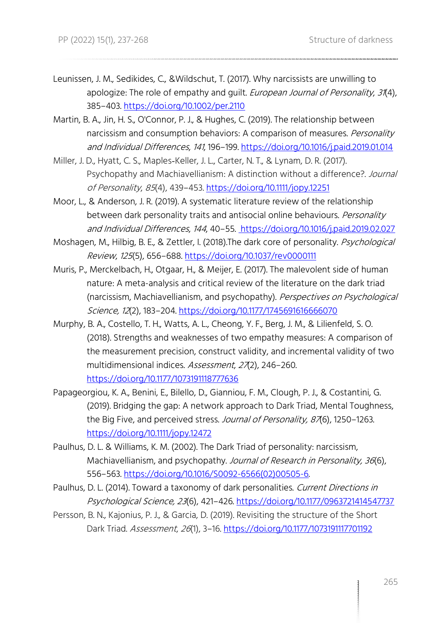Leunissen, J. M., Sedikides, C., &Wildschut, T. (2017). Why narcissists are unwilling to apologize: The role of empathy and guilt. *European Journal of Personality, 31*(4), 385–403.<https://doi.org/10.1002/per.2110>

- Martin, B. A., Jin, H. S., O'Connor, P. J., & Hughes, C. (2019). The relationship between narcissism and consumption behaviors: A comparison of measures. Personality and Individual Differences, <sup>141</sup>, 196–199[. https://doi.org/10.1016/j.paid.2019.01.014](https://doi.org/10.1016/j.paid.2019.01.014)
- Miller, J. D., Hyatt, C. S., Maples‐Keller, J. L., Carter, N. T., & Lynam, D. R. (2017). Psychopathy and Machiavellianism: A distinction without a difference?. Journal of Personality, <sup>85</sup>(4), 439–453[. https://doi.org/10.1111/jopy.12251](https://doi.org/10.1111/jopy.12251)
- Moor, L., & Anderson, J. R. (2019). A systematic literature review of the relationship between dark personality traits and antisocial online behaviours. Personality and Individual Differences, <sup>144</sup>, 40–55[. https://doi.org/10.1016/j.paid.2019.02.027](https://doi.org/10.1016/j.paid.2019.02.027)
- Moshagen, M., Hilbig, B. E., & Zettler, I. (2018). The dark core of personality. *Psychological* Review, <sup>125</sup>(5), 656–688[. https://doi.org/10.1037/rev0000111](https://doi.org/10.1037/rev0000111)
- Muris, P., Merckelbach, H., Otgaar, H., & Meijer, E. (2017). The malevolent side of human nature: A meta-analysis and critical review of the literature on the dark triad (narcissism, Machiavellianism, and psychopathy). Perspectives on Psychological Science, 12(2), 183–204.<https://doi.org/10.1177/1745691616666070>
- Murphy, B. A., Costello, T. H., Watts, A. L., Cheong, Y. F., Berg, J. M., & Lilienfeld, S. O. (2018). Strengths and weaknesses of two empathy measures: A comparison of the measurement precision, construct validity, and incremental validity of two multidimensional indices. Assessment, 27(2), 246-260. <https://doi.org/10.1177/1073191118777636>
- Papageorgiou, K. A., Benini, E., Bilello, D., Gianniou, F. M., Clough, P. J., & Costantini, G. (2019). Bridging the gap: A network approach to Dark Triad, Mental Toughness, the Big Five, and perceived stress. Journal of Personality, 876), 1250-1263. <https://doi.org/10.1111/jopy.12472>
- Paulhus, D. L. & Williams, K. M. (2002). The Dark Triad of personality: narcissism, Machiavellianism, and psychopathy. Journal of Research in Personality, 36(6), 556–563. [https://doi.org/10.1016/S0092-6566\(02\)00505-6.](https://doi.org/10.1016/S0092-6566(02)00505-6)
- Paulhus, D. L. (2014). Toward a taxonomy of dark personalities. Current Directions in Psychological Science, 23(6), 421–426[. https://doi.org/10.1177/0963721414547737](https://doi.org/10.1177/0963721414547737)
- Persson, B. N., Kajonius, P. J., & Garcia, D. (2019). Revisiting the structure of the Short Dark Triad. Assessment, 26(1), 3-16.<https://doi.org/10.1177/1073191117701192>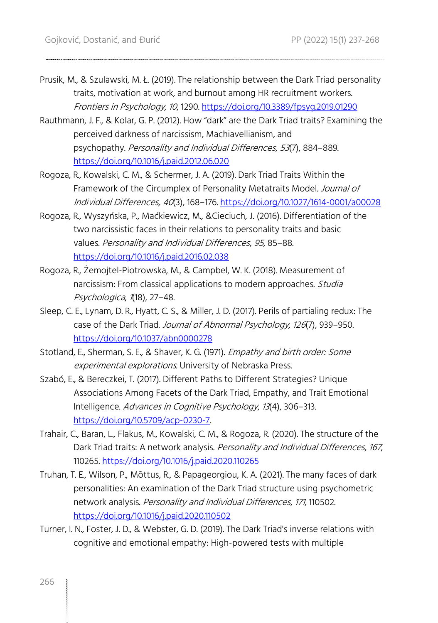- Prusik, M., & Szulawski, M. Ł. (2019). The relationship between the Dark Triad personality traits, motivation at work, and burnout among HR recruitment workers. Frontiers in Psychology, 10, 1290[. https://doi.org/10.3389/fpsyg.2019.01290](https://doi.org/10.3389/fpsyg.2019.01290)
- Rauthmann, J. F., & Kolar, G. P. (2012). How "dark" are the Dark Triad traits? Examining the perceived darkness of narcissism, Machiavellianism, and psychopathy. Personality and Individual Differences, <sup>53</sup>(7), 884–889. <https://doi.org/10.1016/j.paid.2012.06.020>
- Rogoza, R., Kowalski, C. M., & Schermer, J. A. (2019). Dark Triad Traits Within the Framework of the Circumplex of Personality Metatraits Model. Journal of Individual Differences, 40(3), 168–176[. https://doi.org/10.1027/1614-0001/a00028](https://doi.org/10.1027/1614-0001/a00028)
- Rogoza, R., Wyszyńska, P., Maćkiewicz, M., &Cieciuch, J. (2016). Differentiation of the two narcissistic faces in their relations to personality traits and basic values. Personality and Individual Differences, <sup>95</sup>, 85–88. <https://doi.org/10.1016/j.paid.2016.02.038>
- Rogoza, R., Żemojtel-Piotrowska, M., & Campbel, W. K. (2018). Measurement of narcissism: From classical applications to modern approaches. Studia Psychologica, 1(18), 27–48.
- Sleep, C. E., Lynam, D. R., Hyatt, C. S., & Miller, J. D. (2017). Perils of partialing redux: The case of the Dark Triad. Journal of Abnormal Psychology, 126(7), 939–950. <https://doi.org/10.1037/abn0000278>
- Stotland, E., Sherman, S. E., & Shaver, K. G. (1971). Empathy and birth order: Some experimental explorations. University of Nebraska Press.
- Szabó, E., & Bereczkei, T. (2017). Different Paths to Different Strategies? Unique Associations Among Facets of the Dark Triad, Empathy, and Trait Emotional Intelligence. Advances in Cognitive Psychology, <sup>13</sup>(4), 306–313. [https://doi.org/10.5709/acp-0230-7.](https://doi.org/10.5709/acp-0230-7)
- Trahair, C., Baran, L., Flakus, M., Kowalski, C. M., & Rogoza, R. (2020). The structure of the Dark Triad traits: A network analysis. Personality and Individual Differences, 167, 110265.<https://doi.org/10.1016/j.paid.2020.110265>
- Truhan, T. E., Wilson, P., Mõttus, R., & Papageorgiou, K. A. (2021). The many faces of dark personalities: An examination of the Dark Triad structure using psychometric network analysis. Personality and Individual Differences, <sup>171</sup>, 110502. <https://doi.org/10.1016/j.paid.2020.110502>
- Turner, I. N., Foster, J. D., & Webster, G. D. (2019). The Dark Triad's inverse relations with cognitive and emotional empathy: High-powered tests with multiple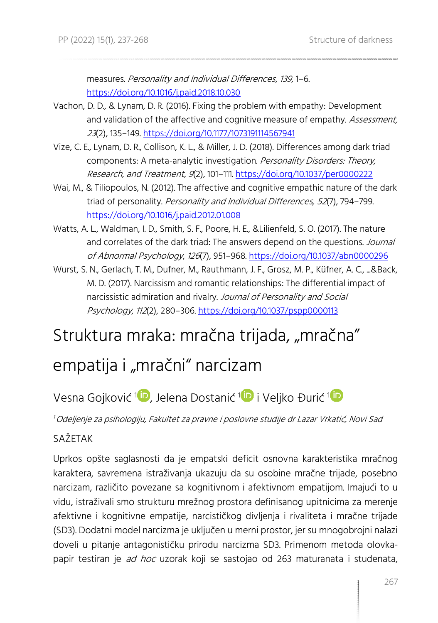measures. Personality and Individual Differences, <sup>139</sup>, 1–6. <https://doi.org/10.1016/j.paid.2018.10.030>

- Vachon, D. D., & Lynam, D. R. (2016). Fixing the problem with empathy: Development and validation of the affective and cognitive measure of empathy. Assessment, <sup>23</sup>(2), 135–149.<https://doi.org/10.1177/1073191114567941>
- Vize, C. E., Lynam, D. R., Collison, K. L., & Miller, J. D. (2018). Differences among dark triad components: A meta-analytic investigation. Personality Disorders: Theory, Research, and Treatment, 9(2), 101–111[. https://doi.org/10.1037/per0000222](https://doi.org/10.1037/per0000222)
- Wai, M., & Tiliopoulos, N. (2012). The affective and cognitive empathic nature of the dark triad of personality. Personality and Individual Differences, 52(7), 794-799. <https://doi.org/10.1016/j.paid.2012.01.008>
- Watts, A. L., Waldman, I. D., Smith, S. F., Poore, H. E., &Lilienfeld, S. O. (2017). The nature and correlates of the dark triad: The answers depend on the questions. Journal of Abnormal Psychology, <sup>126</sup>(7), 951–968.<https://doi.org/10.1037/abn0000296>
- Wurst, S. N., Gerlach, T. M., Dufner, M., Rauthmann, J. F., Grosz, M. P., Küfner, A. C., ...&Back, M. D. (2017). Narcissism and romantic relationships: The differential impact of narcissistic admiration and rivalry. Journal of Personality and Social Psychology, 112(2), 280-306.<https://doi.org/10.1037/pspp0000113>

# Struktura mraka: mračna trijada, "mračna"

# empatija i "mračni" narcizam

# Vesna Gojković [1](https://orcid.org/0000-0002-5441-0879)<mark>10</mark>, Jelena Dostanić 1<mark>10</mark> i Veljko Đurić 1

<sup>1</sup>Odeljenje za psihologiju, Fakultet za pravne i poslovne studije dr Lazar Vrkatić, Novi Sad

### **SAŽETAK**

Uprkos opšte saglasnosti da je empatski deficit osnovna karakteristika mračnog karaktera, savremena istraživanja ukazuju da su osobine mračne trijade, posebno narcizam, različito povezane sa kognitivnom i afektivnom empatijom. Imajući to u vidu, istraživali smo strukturu mrežnog prostora definisanog upitnicima za merenje afektivne i kognitivne empatije, narcističkog divljenja i rivaliteta i mračne trijade (SD3). Dodatni model narcizma je uključen u merni prostor, jer su mnogobrojni nalazi doveli u pitanje antagonističku prirodu narcizma SD3. Primenom metoda olovkapapir testiran je ad hoc uzorak koji se sastojao od 263 maturanata i studenata,